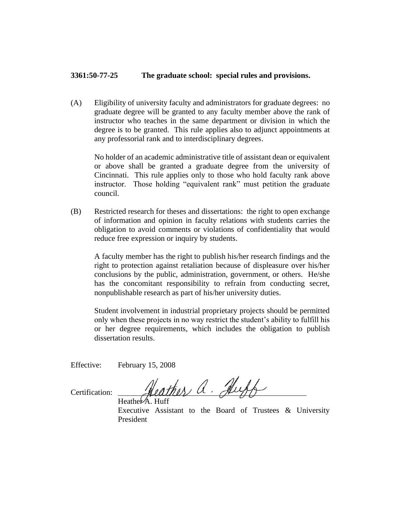## **3361:50-77-25 The graduate school: special rules and provisions.**

(A) Eligibility of university faculty and administrators for graduate degrees: no graduate degree will be granted to any faculty member above the rank of instructor who teaches in the same department or division in which the degree is to be granted. This rule applies also to adjunct appointments at any professorial rank and to interdisciplinary degrees.

No holder of an academic administrative title of assistant dean or equivalent or above shall be granted a graduate degree from the university of Cincinnati. This rule applies only to those who hold faculty rank above instructor. Those holding "equivalent rank" must petition the graduate council.

(B) Restricted research for theses and dissertations: the right to open exchange of information and opinion in faculty relations with students carries the obligation to avoid comments or violations of confidentiality that would reduce free expression or inquiry by students.

A faculty member has the right to publish his/her research findings and the right to protection against retaliation because of displeasure over his/her conclusions by the public, administration, government, or others. He/she has the concomitant responsibility to refrain from conducting secret, nonpublishable research as part of his/her university duties.

Student involvement in industrial proprietary projects should be permitted only when these projects in no way restrict the student's ability to fulfill his or her degree requirements, which includes the obligation to publish dissertation results.

Effective: February 15, 2008

Certification:

eather a. Huf Heather  $\overline{A}$ . Huff

Executive Assistant to the Board of Trustees & University President